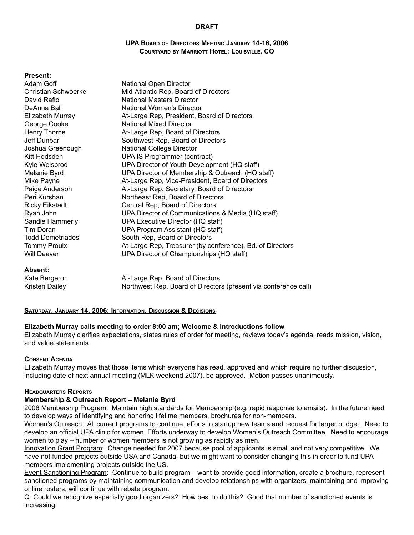# **DRAFT**

#### **UPA Board of Directors Meeting January 14-16, 2006 Courtyard by Marriott Hotel; Louisville, CO**

#### **Present:**

| Adam Goff             | <b>National Open Director</b>                             |
|-----------------------|-----------------------------------------------------------|
| Christian Schwoerke   | Mid-Atlantic Rep, Board of Directors                      |
| David Raflo           | National Masters Director                                 |
| DeAnna Ball           | National Women's Director                                 |
| Elizabeth Murray      | At-Large Rep, President, Board of Directors               |
| George Cooke          | <b>National Mixed Director</b>                            |
| Henry Thorne          | At-Large Rep, Board of Directors                          |
| Jeff Dunbar           | Southwest Rep, Board of Directors                         |
| Joshua Greenough      | <b>National College Director</b>                          |
| Kitt Hodsden          | UPA IS Programmer (contract)                              |
| Kyle Weisbrod         | UPA Director of Youth Development (HQ staff)              |
| Melanie Byrd          | UPA Director of Membership & Outreach (HQ staff)          |
| Mike Payne            | At-Large Rep, Vice-President, Board of Directors          |
| Paige Anderson        | At-Large Rep, Secretary, Board of Directors               |
| Peri Kurshan          | Northeast Rep, Board of Directors                         |
| <b>Ricky Eikstadt</b> | Central Rep, Board of Directors                           |
| Ryan John             | UPA Director of Communications & Media (HQ staff)         |
| Sandie Hammerly       | UPA Executive Director (HQ staff)                         |
| Tim Doran             | UPA Program Assistant (HQ staff)                          |
| Todd Demetriades      | South Rep, Board of Directors                             |
| <b>Tommy Proulx</b>   | At-Large Rep, Treasurer (by conference), Bd. of Directors |
| Will Deaver           | UPA Director of Championships (HQ staff)                  |
| Aheant.               |                                                           |

# **Absent:**

Kate Bergeron **At-Large Rep, Board of Directors** Kristen Dailey **Northwest Rep, Board of Directors (present via conference call)** 

### **Saturday, January 14, 2006: Information, Discussion & Decisions**

### **Elizabeth Murray calls meeting to order 8:00 am; Welcome & Introductions follow**

Elizabeth Murray clarifies expectations, states rules of order for meeting, reviews today's agenda, reads mission, vision, and value statements.

#### **Consent Agenda**

Elizabeth Murray moves that those items which everyone has read, approved and which require no further discussion, including date of next annual meeting (MLK weekend 2007), be approved. Motion passes unanimously.

### **Headquarters Reports**

### **Membership & Outreach Report – Melanie Byrd**

2006 Membership Program: Maintain high standards for Membership (e.g. rapid response to emails). In the future need to develop ways of identifying and honoring lifetime members, brochures for non-members.

Women's Outreach: All current programs to continue, efforts to startup new teams and request for larger budget. Need to develop an official UPA clinic for women. Efforts underway to develop Women's Outreach Committee. Need to encourage women to play – number of women members is not growing as rapidly as men.

Innovation Grant Program: Change needed for 2007 because pool of applicants is small and not very competitive. We have not funded projects outside USA and Canada, but we might want to consider changing this in order to fund UPA members implementing projects outside the US.

Event Sanctioning Program: Continue to build program – want to provide good information, create a brochure, represent sanctioned programs by maintaining communication and develop relationships with organizers, maintaining and improving online rosters, will continue with rebate program.

Q: Could we recognize especially good organizers? How best to do this? Good that number of sanctioned events is increasing.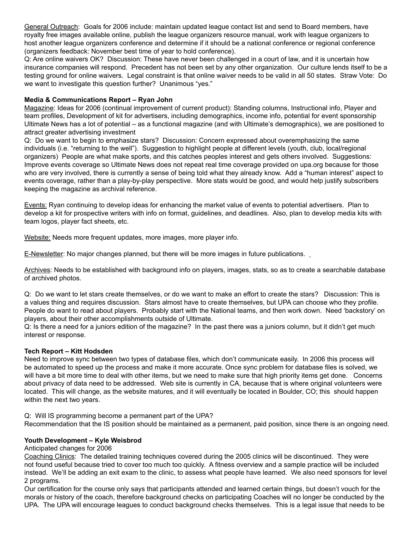General Outreach: Goals for 2006 include: maintain updated league contact list and send to Board members, have royalty free images available online, publish the league organizers resource manual, work with league organizers to host another league organizers conference and determine if it should be a national conference or regional conference (organizers feedback: November best time of year to hold conference).

Q: Are online waivers OK? Discussion: These have never been challenged in a court of law, and it is uncertain how insurance companies will respond. Precedent has not been set by any other organization. Our culture lends itself to be a testing ground for online waivers. Legal constraint is that online waiver needs to be valid in all 50 states. Straw Vote: Do we want to investigate this question further? Unanimous "yes."

# **Media & Communications Report – Ryan John**

Magazine: Ideas for 2006 (continual improvement of current product): Standing columns, Instructional info, Player and team profiles, Development of kit for advertisers, including demographics, income info, potential for event sponsorship Ultimate News has a lot of potential – as a functional magazine (and with Ultimate's demographics), we are positioned to attract greater advertising investment

Q: Do we want to begin to emphasize stars? Discussion: Concern expressed about overemphasizing the same individuals (i.e. "returning to the well"). Suggestion to highlight people at different levels (youth, club, local/regional organizers) People are what make sports, and this catches peoples interest and gets others involved. Suggestions: Improve events coverage so Ultimate News does not repeat real time coverage provided on upa.org because for those who are very involved, there is currently a sense of being told what they already know. Add a "human interest" aspect to events coverage, rather than a play-by-play perspective. More stats would be good, and would help justify subscribers keeping the magazine as archival reference.

Events: Ryan continuing to develop ideas for enhancing the market value of events to potential advertisers. Plan to develop a kit for prospective writers with info on format, guidelines, and deadlines. Also, plan to develop media kits with team logos, player fact sheets, etc.

Website: Needs more frequent updates, more images, more player info.

E-Newsletter: No major changes planned, but there will be more images in future publications.

Archives: Needs to be established with background info on players, images, stats, so as to create a searchable database of archived photos.

Q: Do we want to let stars create themselves, or do we want to make an effort to create the stars? Discussion: This is a values thing and requires discussion. Stars almost have to create themselves, but UPA can choose who they profile. People do want to read about players. Probably start with the National teams, and then work down. Need 'backstory' on players, about their other accomplishments outside of Ultimate.

Q: Is there a need for a juniors edition of the magazine? In the past there was a juniors column, but it didn't get much interest or response.

# **Tech Report – Kitt Hodsden**

Need to improve sync between two types of database files, which don't communicate easily. In 2006 this process will be automated to speed up the process and make it more accurate. Once sync problem for database files is solved, we will have a bit more time to deal with other items, but we need to make sure that high priority items get done. Concerns about privacy of data need to be addressed. Web site is currently in CA, because that is where original volunteers were located. This will change, as the website matures, and it will eventually be located in Boulder, CO; this should happen within the next two years.

Q: Will IS programming become a permanent part of the UPA?

Recommendation that the IS position should be maintained as a permanent, paid position, since there is an ongoing need.

# **Youth Development – Kyle Weisbrod**

Anticipated changes for 2006

Coaching Clinics: The detailed training techniques covered during the 2005 clinics will be discontinued. They were not found useful because tried to cover too much too quickly. A fitness overview and a sample practice will be included instead. We'll be adding an exit exam to the clinic, to assess what people have learned. We also need sponsors for level 2 programs.

Our certification for the course only says that participants attended and learned certain things, but doesn't vouch for the morals or history of the coach, therefore background checks on participating Coaches will no longer be conducted by the UPA. The UPA will encourage leagues to conduct background checks themselves. This is a legal issue that needs to be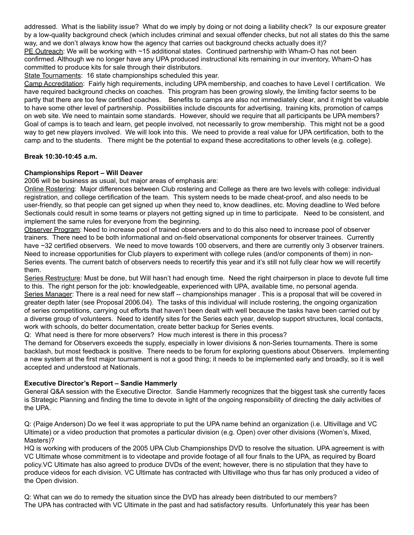addressed. What is the liability issue? What do we imply by doing or not doing a liability check? Is our exposure greater by a low-quality background check (which includes criminal and sexual offender checks, but not all states do this the same way, and we don't always know how the agency that carries out background checks actually does it)?

PE Outreach: We will be working with ~15 additional states. Continued partnership with Wham-O has not been confirmed. Although we no longer have any UPA produced instructional kits remaining in our inventory, Wham-O has committed to produce kits for sale through their distributors.

State Tournaments: 16 state championships scheduled this year.

Camp Accreditation: Fairly high requirements, including UPA membership, and coaches to have Level I certification. We have required background checks on coaches. This program has been growing slowly, the limiting factor seems to be partly that there are too few certified coaches. Benefits to camps are also not immediately clear, and it might be valuable to have some other level of partnership. Possibilities include discounts for advertising, training kits, promotion of camps on web site. We need to maintain some standards. However, should we require that all participants be UPA members? Goal of camps is to teach and learn, get people involved, not necessarily to grow membership. This might not be a good way to get new players involved. We will look into this. We need to provide a real value for UPA certification, both to the camp and to the students. There might be the potential to expand these accreditations to other levels (e.g. college).

**Break 10:30-10:45 a.m.**

# **Championships Report – Will Deaver**

2006 will be business as usual, but major areas of emphasis are:

Online Rostering: Major differences between Club rostering and College as there are two levels with college: individual registration, and college certification of the team. This system needs to be made cheat-proof, and also needs to be user-friendly, so that people can get signed up when they need to, know deadlines, etc. Moving deadline to Wed before Sectionals could result in some teams or players not getting signed up in time to participate. Need to be consistent, and implement the same rules for everyone from the beginning.

Observer Program: Need to increase pool of trained observers and to do this also need to increase pool of observer trainers. There need to be both informational and on-field observational components for observer trainees. Currently have ~32 certified observers. We need to move towards 100 observers, and there are currently only 3 observer trainers. Need to increase opportunities for Club players to experiment with college rules (and/or components of them) in non-Series events. The current batch of observers needs to recertify this year and it's still not fully clear how we will recertify them.

Series Restructure: Must be done, but Will hasn't had enough time. Need the right chairperson in place to devote full time to this. The right person for the job: knowledgeable, experienced with UPA, available time, no personal agenda. Series Manager: There is a real need for new staff -- championships manager. This is a proposal that will be covered in greater depth later (see Proposal 2006.04). The tasks of this individual will include rostering, the ongoing organization of series competitions, carrying out efforts that haven't been dealt with well because the tasks have been carried out by a diverse group of volunteers. Need to identify sites for the Series each year, develop support structures, local contacts, work with schools, do better documentation, create better backup for Series events.

Q: What need is there for more observers? How much interest is there in this process?

The demand for Observers exceeds the supply, especially in lower divisions & non-Series tournaments. There is some backlash, but most feedback is positive. There needs to be forum for exploring questions about Observers. Implementing a new system at the first major tournament is not a good thing; it needs to be implemented early and broadly, so it is well accepted and understood at Nationals.

# **Executive Director's Report – Sandie Hammerly**

General Q&A session with the Executive Director. Sandie Hammerly recognizes that the biggest task she currently faces is Strategic Planning and finding the time to devote in light of the ongoing responsibility of directing the daily activities of the UPA.

Q: (Paige Anderson) Do we feel it was appropriate to put the UPA name behind an organization (i.e. Ultivillage and VC Ultimate) or a video production that promotes a particular division (e.g. Open) over other divisions (Women's, Mixed, Masters)?

HQ is working with producers of the 2005 UPA Club Championships DVD to resolve the situation. UPA agreement is with VC Ultimate whose commitment is to videotape and provide footage of all four finals to the UPA, as required by Board policy.VC Ultimate has also agreed to produce DVDs of the event; however, there is no stipulation that they have to produce videos for each division. VC Ultimate has contracted with Ultivillage who thus far has only produced a video of the Open division.

Q: What can we do to remedy the situation since the DVD has already been distributed to our members? The UPA has contracted with VC Ultimate in the past and had satisfactory results. Unfortunately this year has been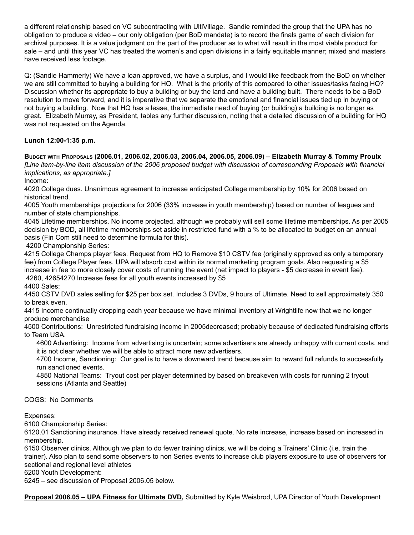a different relationship based on VC subcontracting with UltiVillage. Sandie reminded the group that the UPA has no obligation to produce a video – our only obligation (per BoD mandate) is to record the finals game of each division for archival purposes. It is a value judgment on the part of the producer as to what will result in the most viable product for sale – and until this year VC has treated the women's and open divisions in a fairly equitable manner; mixed and masters have received less footage.

Q: (Sandie Hammerly) We have a loan approved, we have a surplus, and I would like feedback from the BoD on whether we are still committed to buying a building for HQ. What is the priority of this compared to other issues/tasks facing HQ? Discussion whether its appropriate to buy a building or buy the land and have a building built. There needs to be a BoD resolution to move forward, and it is imperative that we separate the emotional and financial issues tied up in buying or not buying a building. Now that HQ has a lease, the immediate need of buying (or building) a building is no longer as great. Elizabeth Murray, as President, tables any further discussion, noting that a detailed discussion of a building for HQ was not requested on the Agenda.

# **Lunch 12:00-1:35 p.m.**

**Budget with Proposals (2006.01, 2006.02, 2006.03, 2006.04, 2006.05, 2006.09) – Elizabeth Murray & Tommy Proulx** *[Line item-by-line item discussion of the 2006 proposed budget with discussion of corresponding Proposals with financial implications, as appropriate.]*

Income:

4020 College dues. Unanimous agreement to increase anticipated College membership by 10% for 2006 based on historical trend.

4005 Youth memberships projections for 2006 (33% increase in youth membership) based on number of leagues and number of state championships.

4045 Lifetime memberships. No income projected, although we probably will sell some lifetime memberships. As per 2005 decision by BOD, all lifetime memberships set aside in restricted fund with a % to be allocated to budget on an annual basis (Fin Com still need to determine formula for this).

4200 Championship Series:

4215 College Champs player fees. Request from HQ to Remove \$10 CSTV fee (originally approved as only a temporary fee) from College Player fees. UPA will absorb cost within its normal marketing program goals. Also requesting a \$5 increase in fee to more closely cover costs of running the event (net impact to players - \$5 decrease in event fee). 4260, 42654270 Increase fees for all youth events increased by \$5

4400 Sales: 4450 CSTV DVD sales selling for \$25 per box set. Includes 3 DVDs, 9 hours of Ultimate. Need to sell approximately 350

to break even.

4415 Income continually dropping each year because we have minimal inventory at Wrightlife now that we no longer produce merchandise

4500 Contributions: Unrestricted fundraising income in 2005decreased; probably because of dedicated fundraising efforts to Team USA.

4600 Advertising: Income from advertising is uncertain; some advertisers are already unhappy with current costs, and it is not clear whether we will be able to attract more new advertisers.

4700 Income, Sanctioning: Our goal is to have a downward trend because aim to reward full refunds to successfully run sanctioned events.

4850 National Teams: Tryout cost per player determined by based on breakeven with costs for running 2 tryout sessions (Atlanta and Seattle)

COGS: No Comments

# Expenses:

6100 Championship Series:

6120.01 Sanctioning insurance. Have already received renewal quote. No rate increase, increase based on increased in membership.

6150 Observer clinics. Although we plan to do fewer training clinics, we will be doing a Trainers' Clinic (i.e. train the trainer). Also plan to send some observers to non Series events to increase club players exposure to use of observers for sectional and regional level athletes

6200 Youth Development:

6245 – see discussion of Proposal 2006.05 below.

**Proposal 2006.05 – UPA Fitness for Ultimate DVD,** Submitted by Kyle Weisbrod, UPA Director of Youth Development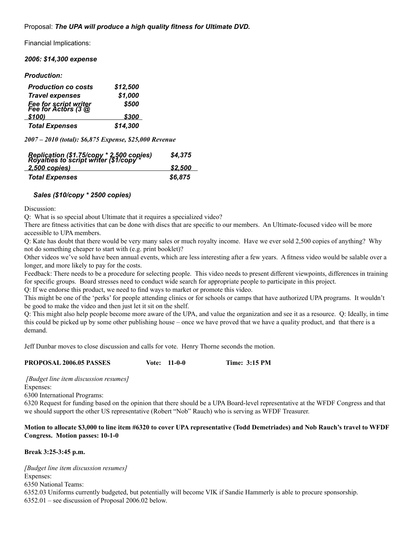Proposal: *The UPA will produce a high quality fitness for Ultimate DVD.*

Financial Implications:

### *2006: \$14,300 expense*

### *Production:*

| <b>Production co costs</b>                   | \$12,500 |
|----------------------------------------------|----------|
| <b>Travel expenses</b>                       | \$1,000  |
| Fee for script writer<br>Fee for Actors (3 @ | \$500    |
| \$100)                                       | \$300    |
| <b>Total Expenses</b>                        | \$14,300 |

*2007 – 2010 (total): \$6,875 Expense, \$25,000 Revenue*

| Replication (\$1.75/copy * 2.500 copies)<br>Royalties to script writer (\$1/copy * | \$4,375 |
|------------------------------------------------------------------------------------|---------|
| <u>. 2.500 copies)</u>                                                             | \$2.500 |
| <b>Total Expenses</b>                                                              | \$6,875 |

# *Sales (\$10/copy \* 2500 copies)*

Discussion:

Q: What is so special about Ultimate that it requires a specialized video?

There are fitness activities that can be done with discs that are specific to our members. An Ultimate-focused video will be more accessible to UPA members.

Q: Kate has doubt that there would be very many sales or much royalty income. Have we ever sold 2,500 copies of anything? Why not do something cheaper to start with (e.g. print booklet)?

Other videos we've sold have been annual events, which are less interesting after a few years. A fitness video would be salable over a longer, and more likely to pay for the costs.

Feedback: There needs to be a procedure for selecting people. This video needs to present different viewpoints, differences in training for specific groups. Board stresses need to conduct wide search for appropriate people to participate in this project.

Q: If we endorse this product, we need to find ways to market or promote this video.

This might be one of the 'perks' for people attending clinics or for schools or camps that have authorized UPA programs. It wouldn't be good to make the video and then just let it sit on the shelf.

Q: This might also help people become more aware of the UPA, and value the organization and see it as a resource. Q: Ideally, in time this could be picked up by some other publishing house – once we have proved that we have a quality product, and that there is a demand.

Jeff Dunbar moves to close discussion and calls for vote. Henry Thorne seconds the motion.

**PROPOSAL 2006.05 PASSES Vote: 11-0-0 Time: 3:15 PM** 

 *[Budget line item discussion resumes]*

Expenses:

6300 International Programs:

6320 Request for funding based on the opinion that there should be a UPA Board-level representative at the WFDF Congress and that we should support the other US representative (Robert "Nob" Rauch) who is serving as WFDF Treasurer.

### **Motion to allocate \$3,000 to line item #6320 to cover UPA representative (Todd Demetriades) and Nob Rauch's travel to WFDF Congress. Motion passes: 10-1-0**

**Break 3:25-3:45 p.m.**

*[Budget line item discussion resumes]* Expenses: 6350 National Teams: 6352.03 Uniforms currently budgeted, but potentially will become VIK if Sandie Hammerly is able to procure sponsorship. 6352.01 – see discussion of Proposal 2006.02 below.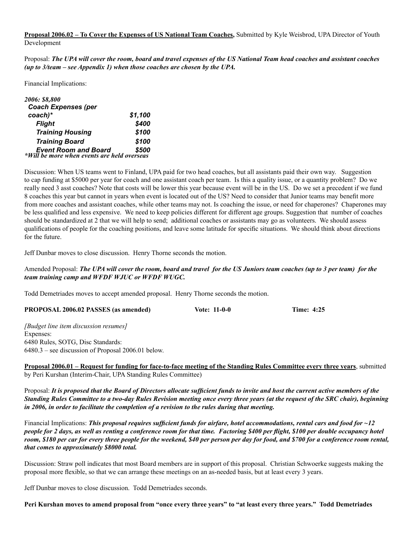**Proposal 2006.02 – To Cover the Expenses of US National Team Coaches,** Submitted by Kyle Weisbrod, UPA Director of Youth Development

Proposal: *The UPA will cover the room, board and travel expenses of the US National Team head coaches and assistant coaches (up to 3/team – see Appendix 1) when those coaches are chosen by the UPA.*

Financial Implications:

| 2006: \$8,800                                                            |         |
|--------------------------------------------------------------------------|---------|
| <b>Coach Expenses (per</b>                                               |         |
| $coach)$ *                                                               | \$1,100 |
| <b>Flight</b>                                                            | \$400   |
| <b>Training Housing</b>                                                  | \$100   |
| <b>Training Board</b>                                                    | \$100   |
| Event Room and Board \$500<br>Will be more when events are held overseas | \$500   |

Discussion: When US teams went to Finland, UPA paid for two head coaches, but all assistants paid their own way. Suggestion to cap funding at \$5000 per year for coach and one assistant coach per team. Is this a quality issue, or a quantity problem? Do we really need 3 asst coaches? Note that costs will be lower this year because event will be in the US. Do we set a precedent if we fund 8 coaches this year but cannot in years when event is located out of the US? Need to consider that Junior teams may benefit more from more coaches and assistant coaches, while other teams may not. Is coaching the issue, or need for chaperones? Chaperones may be less qualified and less expensive. We need to keep policies different for different age groups. Suggestion that number of coaches should be standardized at 2 that we will help to send; additional coaches or assistants may go as volunteers. We should assess qualifications of people for the coaching positions, and leave some latitude for specific situations. We should think about directions for the future.

Jeff Dunbar moves to close discussion. Henry Thorne seconds the motion.

### Amended Proposal: *The UPA will cover the room, board and travel for the US Juniors team coaches (up to 3 per team) for the team training camp and WFDF WJUC or WFDF WUGC.*

Todd Demetriades moves to accept amended proposal. Henry Thorne seconds the motion.

| PROPOSAL 2006.02 PASSES (as amended) | Vote: $11-0-0$ | <b>Time: 4:25</b> |
|--------------------------------------|----------------|-------------------|
|--------------------------------------|----------------|-------------------|

*[Budget line item discussion resumes]* Expenses: 6480 Rules, SOTG, Disc Standards: 6480.3 – see discussion of Proposal 2006.01 below.

**Proposal 2006.01 – Request for funding for face-to-face meeting of the Standing Rules Committee every three years**, submitted by Peri Kurshan (Interim-Chair, UPA Standing Rules Committee)

Proposal: *It is proposed that the Board of Directors allocate sufficient funds to invite and host the current active members of the Standing Rules Committee to a two-day Rules Revision meeting once every three years (at the request of the SRC chair), beginning in 2006, in order to facilitate the completion of a revision to the rules during that meeting.*

Financial Implications: *This proposal requires sufficient funds for airfare, hotel accommodations, rental cars and food for ~12 people for 2 days, as well as renting a conference room for that time. Factoring \$400 per flight, \$100 per double occupancy hotel room, \$180 per car for every three people for the weekend, \$40 per person per day for food, and \$700 for a conference room rental, that comes to approximately \$8000 total.*

Discussion: Straw poll indicates that most Board members are in support of this proposal. Christian Schwoerke suggests making the proposal more flexible, so that we can arrange these meetings on an as-needed basis, but at least every 3 years.

Jeff Dunbar moves to close discussion. Todd Demetriades seconds.

**Peri Kurshan moves to amend proposal from "once every three years" to "at least every three years." Todd Demetriades**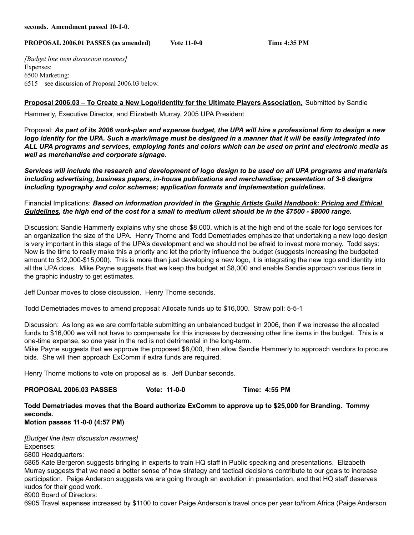#### **seconds. Amendment passed 10-1-0.**

#### **PROPOSAL 2006.01 PASSES (as amended)** Vote 11-0-0 Time 4:35 PM

*[Budget line item discussion resumes]* Expenses: 6500 Marketing: 6515 – see discussion of Proposal 2006.03 below.

# **Proposal 2006.03 – To Create a New Logo/Identity for the Ultimate Players Association,** Submitted by Sandie

Hammerly, Executive Director, and Elizabeth Murray, 2005 UPA President

Proposal: *As part of its 2006 work-plan and expense budget, the UPA will hire a professional firm to design a new logo identity for the UPA. Such a mark/image must be designed in a manner that it will be easily integrated into ALL UPA programs and services, employing fonts and colors which can be used on print and electronic media as well as merchandise and corporate signage.* 

*Services will include the research and development of logo design to be used on all UPA programs and materials including advertising, business papers, in-house publications and merchandise; presentation of 3-6 designs including typography and color schemes; application formats and implementation guidelines.* 

Financial Implications: *Based on information provided in the Graphic Artists Guild Handbook: Pricing and Ethical Guidelines, the high end of the cost for a small to medium client should be in the \$7500 - \$8000 range.* 

Discussion: Sandie Hammerly explains why she chose \$8,000, which is at the high end of the scale for logo services for an organization the size of the UPA. Henry Thorne and Todd Demetriades emphasize that undertaking a new logo design is very important in this stage of the UPA's development and we should not be afraid to invest more money. Todd says: Now is the time to really make this a priority and let the priority influence the budget (suggests increasing the budgeted amount to \$12,000-\$15,000). This is more than just developing a new logo, it is integrating the new logo and identity into all the UPA does. Mike Payne suggests that we keep the budget at \$8,000 and enable Sandie approach various tiers in the graphic industry to get estimates.

Jeff Dunbar moves to close discussion. Henry Thorne seconds.

Todd Demetriades moves to amend proposal: Allocate funds up to \$16,000. Straw poll: 5-5-1

Discussion: As long as we are comfortable submitting an unbalanced budget in 2006, then if we increase the allocated funds to \$16,000 we will not have to compensate for this increase by decreasing other line items in the budget. This is a one-time expense, so one year in the red is not detrimental in the long-term.

Mike Payne suggests that we approve the proposed \$8,000, then allow Sandie Hammerly to approach vendors to procure bids. She will then approach ExComm if extra funds are required.

Henry Thorne motions to vote on proposal as is. Jeff Dunbar seconds.

**PROPOSAL 2006.03 PASSES Vote: 11-0-0 Time: 4:55 PM**

**Todd Demetriades moves that the Board authorize ExComm to approve up to \$25,000 for Branding. Tommy seconds.**

**Motion passes 11-0-0 (4:57 PM)**

*[Budget line item discussion resumes]* Expenses: 6800 Headquarters:

6865 Kate Bergeron suggests bringing in experts to train HQ staff in Public speaking and presentations. Elizabeth Murray suggests that we need a better sense of how strategy and tactical decisions contribute to our goals to increase participation. Paige Anderson suggests we are going through an evolution in presentation, and that HQ staff deserves kudos for their good work.

6900 Board of Directors:

6905 Travel expenses increased by \$1100 to cover Paige Anderson's travel once per year to/from Africa (Paige Anderson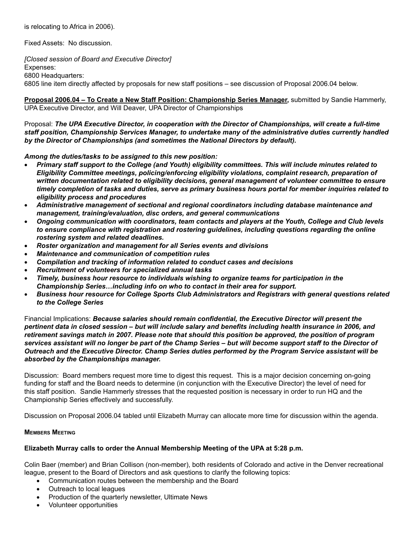is relocating to Africa in 2006).

Fixed Assets: No discussion.

*[Closed session of Board and Executive Director]* Expenses: 6800 Headquarters:

6805 line item directly affected by proposals for new staff positions – see discussion of Proposal 2006.04 below.

**Proposal 2006.04 – To Create a New Staff Position: Championship Series Manager,** submitted by Sandie Hammerly, UPA Executive Director, and Will Deaver, UPA Director of Championships

Proposal: *The UPA Executive Director, in cooperation with the Director of Championships, will create a full-time staff position, Championship Services Manager, to undertake many of the administrative duties currently handled by the Director of Championships (and sometimes the National Directors by default).* 

*Among the duties/tasks to be assigned to this new position:* 

- • *Primary staff support to the College (and Youth) eligibility committees. This will include minutes related to Eligibility Committee meetings, policing/enforcing eligibility violations, complaint research, preparation of written documentation related to eligibility decisions, general management of volunteer committee to ensure timely completion of tasks and duties, serve as primary business hours portal for member inquiries related to eligibility process and procedures*
- • *Administrative management of sectional and regional coordinators including database maintenance and management, training/evaluation, disc orders, and general communications*
- • *Ongoing communication with coordinators, team contacts and players at the Youth, College and Club levels to ensure compliance with registration and rostering guidelines, including questions regarding the online rostering system and related deadlines.*
- **Roster organization and management for all Series events and divisions**
- • *Maintenance and communication of competition rules*
- • *Compilation and tracking of information related to conduct cases and decisions*
- **Recruitment of volunteers for specialized annual tasks**
- **Timely, business hour resource to individuals wishing to organize teams for participation in the** *Championship Series…including info on who to contact in their area for support.*
- • *Business hour resource for College Sports Club Administrators and Registrars with general questions related to the College Series*

Financial Implications: *Because salaries should remain confidential, the Executive Director will present the pertinent data in closed session – but will include salary and benefits including health insurance in 2006, and retirement savings match in 2007. Please note that should this position be approved, the position of program*  services assistant will no longer be part of the Champ Series - but will become support staff to the Director of *Outreach and the Executive Director. Champ Series duties performed by the Program Service assistant will be absorbed by the Championships manager.*

Discussion: Board members request more time to digest this request. This is a major decision concerning on-going funding for staff and the Board needs to determine (in conjunction with the Executive Director) the level of need for this staff position. Sandie Hammerly stresses that the requested position is necessary in order to run HQ and the Championship Series effectively and successfully.

Discussion on Proposal 2006.04 tabled until Elizabeth Murray can allocate more time for discussion within the agenda.

### **Members Meeting**

# **Elizabeth Murray calls to order the Annual Membership Meeting of the UPA at 5:28 p.m.**

Colin Baer (member) and Brian Collison (non-member), both residents of Colorado and active in the Denver recreational league, present to the Board of Directors and ask questions to clarify the following topics:

- Communication routes between the membership and the Board
- Outreach to local leagues
- Production of the quarterly newsletter, Ultimate News
- Volunteer opportunities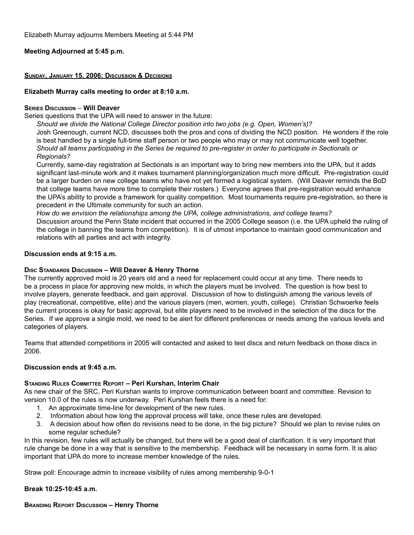**Meeting Adjourned at 5:45 p.m.**

**Sunday, January 15, 2006: Discussion & Decisions**

### **Elizabeth Murray calls meeting to order at 8:10 a.m.**

# **Series Discussion** – **Will Deaver**

Series questions that the UPA will need to answer in the future:

*Should we divide the National College Director position into two jobs (e.g. Open, Women's)?*

Josh Greenough, current NCD, discusses both the pros and cons of dividing the NCD position. He wonders if the role is best handled by a single full-time staff person or two people who may or may not communicate well together. *Should all teams participating in the Series be required to pre-register in order to participate in Sectionals or Regionals?*

Currently, same-day registration at Sectionals is an important way to bring new members into the UPA, but it adds significant last-minute work and it makes tournament planning/organization much more difficult. Pre-registration could be a larger burden on new college teams who have not yet formed a logistical system. (Will Deaver reminds the BoD that college teams have more time to complete their rosters.) Everyone agrees that pre-registration would enhance the UPA's ability to provide a framework for quality competition. Most tournaments require pre-registration, so there is precedent in the Ultimate community for such an action.

*How do we envision the relationships among the UPA, college administrations, and college teams?*

Discussion around the Penn State incident that occurred in the 2005 College season (i.e. the UPA upheld the ruling of the college in banning the teams from competition). It is of utmost importance to maintain good communication and relations with all parties and act with integrity.

# **Discussion ends at 9:15 a.m.**

### **Disc Standards Discussion – Will Deaver & Henry Thorne**

The currently approved mold is 20 years old and a need for replacement could occur at any time. There needs to be a process in place for approving new molds, in which the players must be involved. The question is how best to involve players, generate feedback, and gain approval. Discussion of how to distinguish among the various levels of play (recreational, competitive, elite) and the various players (men, women, youth, college). Christian Schwoerke feels the current process is okay for basic approval, but elite players need to be involved in the selection of the discs for the Series. If we approve a single mold, we need to be alert for different preferences or needs among the various levels and categories of players.

Teams that attended competitions in 2005 will contacted and asked to test discs and return feedback on those discs in 2006.

# **Discussion ends at 9:45 a.m.**

# **Standing Rules Committee Report – Peri Kurshan, Interim Chair**

As new chair of the SRC, Peri Kurshan wants to improve communication between board and committee. Revision to version 10.0 of the rules is now underway. Peri Kurshan feels there is a need for:

- 1. An approximate time-line for development of the new rules.
- 2. Information about how long the approval process will take, once these rules are developed.
- 3. A decision about how often do revisions need to be done, in the big picture? Should we plan to revise rules on some regular schedule?

In this revision, few rules will actually be changed, but there will be a good deal of clarification. It is very important that rule change be done in a way that is sensitive to the membership. Feedback will be necessary in some form. It is also important that UPA do more to increase member knowledge of the rules.

Straw poll: Encourage admin to increase visibility of rules among membership 9-0-1

**Break 10:25-10:45 a.m.**

**Branding Report Discussion – Henry Thorne**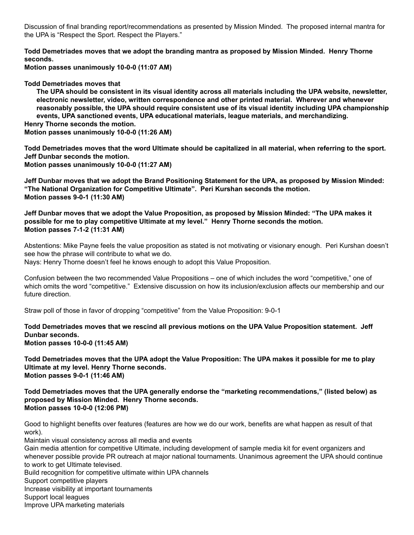Discussion of final branding report/recommendations as presented by Mission Minded. The proposed internal mantra for the UPA is "Respect the Sport. Respect the Players."

**Todd Demetriades moves that we adopt the branding mantra as proposed by Mission Minded. Henry Thorne seconds.**

**Motion passes unanimously 10-0-0 (11:07 AM)**

**Todd Demetriades moves that**

**The UPA should be consistent in its visual identity across all materials including the UPA website, newsletter, electronic newsletter, video, written correspondence and other printed material. Wherever and whenever reasonably possible, the UPA should require consistent use of its visual identity including UPA championship events, UPA sanctioned events, UPA educational materials, league materials, and merchandizing.**

**Henry Thorne seconds the motion. Motion passes unanimously 10-0-0 (11:26 AM)**

**Todd Demetriades moves that the word Ultimate should be capitalized in all material, when referring to the sport. Jeff Dunbar seconds the motion. Motion passes unanimously 10-0-0 (11:27 AM)**

**Jeff Dunbar moves that we adopt the Brand Positioning Statement for the UPA, as proposed by Mission Minded: "The National Organization for Competitive Ultimate". Peri Kurshan seconds the motion. Motion passes 9-0-1 (11:30 AM)**

**Jeff Dunbar moves that we adopt the Value Proposition, as proposed by Mission Minded: "The UPA makes it possible for me to play competitive Ultimate at my level." Henry Thorne seconds the motion. Motion passes 7-1-2 (11:31 AM)**

Abstentions: Mike Payne feels the value proposition as stated is not motivating or visionary enough. Peri Kurshan doesn't see how the phrase will contribute to what we do.

Nays: Henry Thorne doesn't feel he knows enough to adopt this Value Proposition.

Confusion between the two recommended Value Propositions – one of which includes the word "competitive," one of which omits the word "competitive." Extensive discussion on how its inclusion/exclusion affects our membership and our future direction.

Straw poll of those in favor of dropping "competitive" from the Value Proposition: 9-0-1

**Todd Demetriades moves that we rescind all previous motions on the UPA Value Proposition statement. Jeff Dunbar seconds. Motion passes 10-0-0 (11:45 AM)**

**Todd Demetriades moves that the UPA adopt the Value Proposition: The UPA makes it possible for me to play Ultimate at my level. Henry Thorne seconds. Motion passes 9-0-1 (11:46 AM)**

**Todd Demetriades moves that the UPA generally endorse the "marketing recommendations," (listed below) as proposed by Mission Minded. Henry Thorne seconds. Motion passes 10-0-0 (12:06 PM)**

Good to highlight benefits over features (features are how we do our work, benefits are what happen as result of that work).

Maintain visual consistency across all media and events

Gain media attention for competitive Ultimate, including development of sample media kit for event organizers and whenever possible provide PR outreach at major national tournaments. Unanimous agreement the UPA should continue to work to get Ultimate televised.

Build recognition for competitive ultimate within UPA channels

Support competitive players

Increase visibility at important tournaments

Support local leagues

Improve UPA marketing materials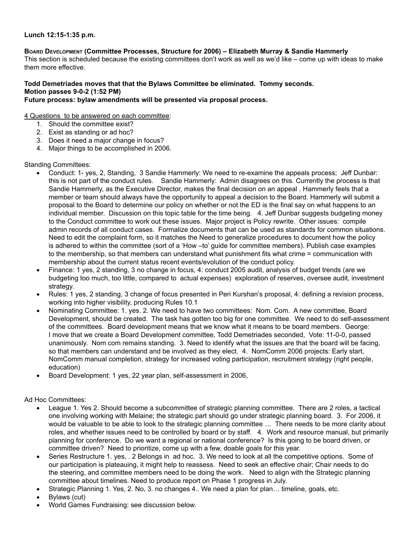### **Lunch 12:15-1:35 p.m.**

#### **Board Development (Committee Processes, Structure for 2006) – Elizabeth Murray & Sandie Hammerly** This section is scheduled because the existing committees don't work as well as we'd like – come up with ideas to make

them more effective.

### **Todd Demetriades moves that that the Bylaws Committee be eliminated. Tommy seconds. Motion passes 9-0-2 (1:52 PM) Future process: bylaw amendments will be presented via proposal process.**

4 Questions to be answered on each committee:

- 1. Should the committee exist?
- 2. Exist as standing or ad hoc?
- 3. Does it need a major change in focus?
- 4. Major things to be accomplished in 2006.

# Standing Committees:

- Conduct: 1- yes, 2, Standing, 3 Sandie Hammerly: We need to re-examine the appeals process; Jeff Dunbar: this is not part of the conduct rules. Sandie Hammerly: Admin disagrees on this. Currently the process is that Sandie Hammerly, as the Executive Director, makes the final decision on an appeal . Hammerly feels that a member or team should always have the opportunity to appeal a decision to the Board. Hammerly will submit a proposal to the Board to determine our policy on whether or not the ED is the final say on what happens to an individual member. Discussion on this topic table for the time being. 4. Jeff Dunbar suggests budgeting money to the Conduct committee to work out these issues. Major project is Policy rewrite. Other issues: compile admin records of all conduct cases. Formalize documents that can be used as standards for common situations. Need to edit the complaint form, so it matches the Need to generalize procedures to document how the policy is adhered to within the committee (sort of a 'How –to' guide for committee members). Publish case examples to the membership, so that members can understand what punishment fits what crime = communication with membership about the current status recent events/evolution of the conduct policy.
- Finance: 1 yes, 2 standing, 3 no change in focus, 4: conduct 2005 audit, analysis of budget trends (are we budgeting too much, too little, compared to actual expenses) exploration of reserves, oversee audit, investment strategy.
- Rules: 1 yes, 2 standing, 3 change of focus presented in Peri Kurshan's proposal, 4: defining a revision process, working into higher visibility, producing Rules 10.1
- Nominating Committee: 1. yes. 2. We need to have two committees: Nom. Com. A new committee, Board Development, should be created. The task has gotten too big for one committee. We need to do self-assessment of the committees. Board development means that we know what it means to be board members. George: I move that we create a Board Development committee, Todd Demetriades seconded, Vote: 11-0-0, passed unanimously. Nom com remains standing. 3. Need to identify what the issues are that the board will be facing, so that members can understand and be involved as they elect. 4. NomComm 2006 projects: Early start, NomComm manual completion, strategy for increased voting participation, recruitment strategy (right people, education)
- Board Development: 1 yes, 22 year plan, self-assessment in 2006,

# Ad Hoc Committees:

- League 1. Yes 2. Should become a subcommittee of strategic planning committee. There are 2 roles, a tactical one involving working with Melaine; the strategic part should go under strategic planning board. 3. For 2006, it would be valuable to be able to look to the strategic planning committee … There needs to be more clarity about roles, and whether issues need to be controlled by board or by staff. 4. Work and resource manual, but primarily planning for conference. Do we want a regional or national conference? Is this going to be board driven, or committee driven? Need to prioritize, come up with a few, doable goals for this year.
- Series Restructure 1. yes, . 2 Belongs in ad hoc. 3. We need to look at all the competitive options. Some of our participation is plateauing, it might help to reassess. Need to seek an effective chair; Chair needs to do the steering, and committee members need to be doing the work. Need to align with the Strategic planning committee about timelines. Need to produce report on Phase 1 progress in July.
- Strategic Planning 1. Yes, 2. No, 3. no changes 4.. We need a plan for plan... timeline, goals, etc.
- Bylaws (cut)
- World Games Fundraising: see discussion below.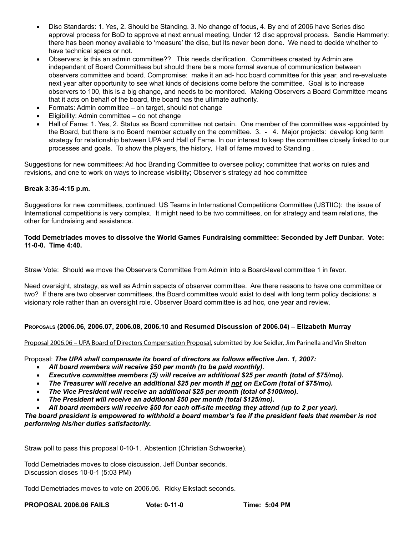- Disc Standards: 1. Yes, 2. Should be Standing. 3. No change of focus, 4. By end of 2006 have Series disc approval process for BoD to approve at next annual meeting, Under 12 disc approval process. Sandie Hammerly: there has been money available to 'measure' the disc, but its never been done. We need to decide whether to have technical specs or not.
- Observers: is this an admin committee?? This needs clarification. Committees created by Admin are independent of Board Committees but should there be a more formal avenue of communication between observers committee and board. Compromise: make it an ad- hoc board committee for this year, and re-evaluate next year after opportunity to see what kinds of decisions come before the committee. Goal is to increase observers to 100, this is a big change, and needs to be monitored. Making Observers a Board Committee means that it acts on behalf of the board, the board has the ultimate authority.
- Formats: Admin committee on target, should not change
- Eligibility: Admin committee  $-$  do not change
- Hall of Fame: 1. Yes, 2. Status as Board committee not certain. One member of the committee was -appointed by the Board, but there is no Board member actually on the committee. 3. - 4. Major projects: develop long term strategy for relationship between UPA and Hall of Fame. In our interest to keep the committee closely linked to our processes and goals. To show the players, the history, Hall of fame moved to Standing .

Suggestions for new committees: Ad hoc Branding Committee to oversee policy; committee that works on rules and revisions, and one to work on ways to increase visibility; Observer's strategy ad hoc committee

### **Break 3:35-4:15 p.m.**

Suggestions for new committees, continued: US Teams in International Competitions Committee (USTIIC): the issue of International competitions is very complex. It might need to be two committees, on for strategy and team relations, the other for fundraising and assistance.

### **Todd Demetriades moves to dissolve the World Games Fundraising committee: Seconded by Jeff Dunbar. Vote: 11-0-0. Time 4:40.**

Straw Vote: Should we move the Observers Committee from Admin into a Board-level committee 1 in favor.

Need oversight, strategy, as well as Admin aspects of observer committee. Are there reasons to have one committee or two? If there are two observer committees, the Board committee would exist to deal with long term policy decisions: a visionary role rather than an oversight role. Observer Board committee is ad hoc, one year and review,

# **Proposals (2006.06, 2006.07, 2006.08, 2006.10 and Resumed Discussion of 2006.04) – Elizabeth Murray**

Proposal 2006.06 – UPA Board of Directors Compensation Proposal, submitted by Joe Seidler, Jim Parinella and Vin Shelton

Proposal: *The UPA shall compensate its board of directors as follows effective Jan. 1, 2007:*

- All board members will receive \$50 per month (to be paid monthly).
- *Executive committee members (5) will receive an additional \$25 per month (total of \$75/mo).*
- The Treasurer will receive an additional \$25 per month if not on ExCom (total of \$75/mo).
- The Vice President will receive an additional \$25 per month (total of \$100/mo).
- The President will receive an additional \$50 per month (total \$125/mo).
- All board members will receive \$50 for each off-site meeting they attend (up to 2 per year).

*The board president is empowered to withhold a board member's fee if the president feels that member is not performing his/her duties satisfactorily.*

Straw poll to pass this proposal 0-10-1. Abstention (Christian Schwoerke).

Todd Demetriades moves to close discussion. Jeff Dunbar seconds. Discussion closes 10-0-1 (5:03 PM)

Todd Demetriades moves to vote on 2006.06. Ricky Eikstadt seconds.

**PROPOSAL 2006.06 FAILS Vote: 0-11-0 Time: 5:04 PM**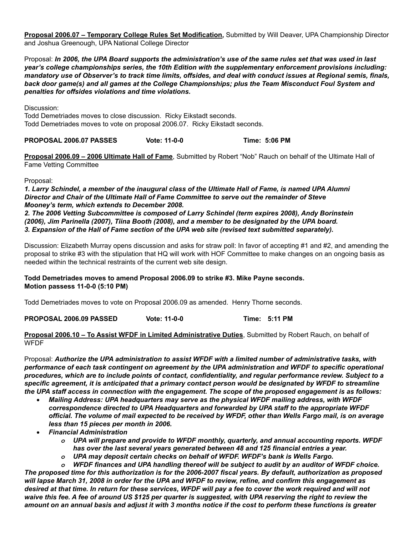**Proposal 2006.07 – Temporary College Rules Set Modification,** Submitted by Will Deaver, UPA Championship Director and Joshua Greenough, UPA National College Director

Proposal: *In 2006, the UPA Board supports the administration's use of the same rules set that was used in last year's college championships series, the 10th Edition with the supplementary enforcement provisions including: mandatory use of Observer's to track time limits, offsides, and deal with conduct issues at Regional semis, finals, back door game(s) and all games at the College Championships; plus the Team Misconduct Foul System and penalties for offsides violations and time violations.*

Discussion:

Todd Demetriades moves to close discussion. Ricky Eikstadt seconds. Todd Demetriades moves to vote on proposal 2006.07. Ricky Eikstadt seconds.

**PROPOSAL 2006.07 PASSES Vote: 11-0-0 Time: 5:06 PM**

**Proposal 2006.09 – 2006 Ultimate Hall of Fame**, Submitted by Robert "Nob" Rauch on behalf of the Ultimate Hall of Fame Vetting Committee

Proposal:

*1. Larry Schindel, a member of the inaugural class of the Ultimate Hall of Fame, is named UPA Alumni Director and Chair of the Ultimate Hall of Fame Committee to serve out the remainder of Steve Mooney's term, which extends to December 2008.*

*2. The 2006 Vetting Subcommittee is composed of Larry Schindel (term expires 2008), Andy Borinstein (2006), Jim Parinella (2007), Tiina Booth (2008), and a member to be designated by the UPA board. 3. Expansion of the Hall of Fame section of the UPA web site (revised text submitted separately).*

Discussion: Elizabeth Murray opens discussion and asks for straw poll: In favor of accepting #1 and #2, and amending the proposal to strike #3 with the stipulation that HQ will work with HOF Committee to make changes on an ongoing basis as needed within the technical restraints of the current web site design.

# **Todd Demetriades moves to amend Proposal 2006.09 to strike #3. Mike Payne seconds. Motion passess 11-0-0 (5:10 PM)**

Todd Demetriades moves to vote on Proposal 2006.09 as amended. Henry Thorne seconds.

**PROPOSAL 2006.09 PASSED Vote: 11-0-0 Time: 5:11 PM** 

**Proposal 2006.10 – To Assist WFDF in Limited Administrative Duties**, Submitted by Robert Rauch, on behalf of WFDF

Proposal: *Authorize the UPA administration to assist WFDF with a limited number of administrative tasks, with performance of each task contingent on agreement by the UPA administration and WFDF to specific operational procedures, which are to include points of contact, confidentiality, and regular performance review. Subject to a specific agreement, it is anticipated that a primary contact person would be designated by WFDF to streamline the UPA staff access in connection with the engagement. The scope of the proposed engagement is as follows:*

- • *Mailing Address: UPA headquarters may serve as the physical WFDF mailing address, with WFDF correspondence directed to UPA Headquarters and forwarded by UPA staff to the appropriate WFDF official. The volume of mail expected to be received by WFDF, other than Wells Fargo mail, is on average less than 15 pieces per month in 2006.*
- • *Financial Administration*
	- *o UPA will prepare and provide to WFDF monthly, quarterly, and annual accounting reports. WFDF has over the last several years generated between 48 and 125 financial entries a year.*
	- *o UPA may deposit certain checks on behalf of WFDF. WFDF's bank is Wells Fargo.*
	- *o WFDF finances and UPA handling thereof will be subject to audit by an auditor of WFDF choice.*

*The proposed time for this authorization is for the 2006-2007 fiscal years. By default, authorization as proposed will lapse March 31, 2008 in order for the UPA and WFDF to review, refine, and confirm this engagement as desired at that time. In return for these services, WFDF will pay a fee to cover the work required and will not waive this fee. A fee of around US \$125 per quarter is suggested, with UPA reserving the right to review the amount on an annual basis and adjust it with 3 months notice if the cost to perform these functions is greater*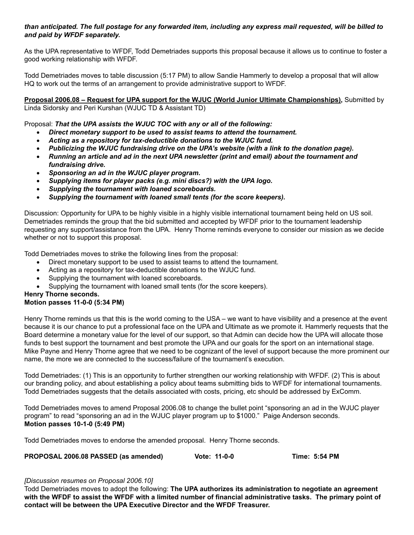# *than anticipated. The full postage for any forwarded item, including any express mail requested, will be billed to and paid by WFDF separately.*

As the UPA representative to WFDF, Todd Demetriades supports this proposal because it allows us to continue to foster a good working relationship with WFDF.

Todd Demetriades moves to table discussion (5:17 PM) to allow Sandie Hammerly to develop a proposal that will allow HQ to work out the terms of an arrangement to provide administrative support to WFDF.

**Proposal 2006.08 – Request for UPA support for the WJUC (World Junior Ultimate Championships),** Submitted by Linda Sidorsky and Peri Kurshan (WJUC TD & Assistant TD)

Proposal: *That the UPA assists the WJUC TOC with any or all of the following:*

- **Direct monetary support to be used to assist teams to attend the tournament.**
- Acting as a repository for tax-deductible donations to the WJUC fund.
- Publicizing the WJUC fundraising drive on the UPA's website (with a link to the donation page).
- **Running an article and ad in the next UPA newsletter (print and email) about the tournament and** *fundraising drive.*
- Sponsoring an ad in the WJUC player program.
- Supplying items for player packs (e.g. mini discs?) with the UPA logo.
- Supplying the tournament with loaned scoreboards.
- Supplying the tournament with loaned small tents (for the score keepers).

Discussion: Opportunity for UPA to be highly visible in a highly visible international tournament being held on US soil. Demetriades reminds the group that the bid submitted and accepted by WFDF prior to the tournament leadership requesting any support/assistance from the UPA. Henry Thorne reminds everyone to consider our mission as we decide whether or not to support this proposal.

Todd Demetriades moves to strike the following lines from the proposal:

- Direct monetary support to be used to assist teams to attend the tournament.
- Acting as a repository for tax-deductible donations to the WJUC fund.
- Supplying the tournament with loaned scoreboards.
- Supplying the tournament with loaned small tents (for the score keepers).

# **Henry Thorne seconds.**

# **Motion passes 11-0-0 (5:34 PM)**

Henry Thorne reminds us that this is the world coming to the USA – we want to have visibility and a presence at the event because it is our chance to put a professional face on the UPA and Ultimate as we promote it. Hammerly requests that the Board determine a monetary value for the level of our support, so that Admin can decide how the UPA will allocate those funds to best support the tournament and best promote the UPA and our goals for the sport on an international stage. Mike Payne and Henry Thorne agree that we need to be cognizant of the level of support because the more prominent our name, the more we are connected to the success/failure of the tournament's execution.

Todd Demetriades: (1) This is an opportunity to further strengthen our working relationship with WFDF. (2) This is about our branding policy, and about establishing a policy about teams submitting bids to WFDF for international tournaments. Todd Demetriades suggests that the details associated with costs, pricing, etc should be addressed by ExComm.

Todd Demetriades moves to amend Proposal 2006.08 to change the bullet point "sponsoring an ad in the WJUC player program" to read "sponsoring an ad in the WJUC player program up to \$1000." Paige Anderson seconds. **Motion passes 10-1-0 (5:49 PM)**

Todd Demetriades moves to endorse the amended proposal. Henry Thorne seconds.

| PROPOSAL 2006.08 PASSED (as amended) | Vote: 11-0-0 | Time: 5:54 PM |
|--------------------------------------|--------------|---------------|
|--------------------------------------|--------------|---------------|

### *[Discussion resumes on Proposal 2006.10]*

Todd Demetriades moves to adopt the following: **The UPA authorizes its administration to negotiate an agreement with the WFDF to assist the WFDF with a limited number of financial administrative tasks. The primary point of contact will be between the UPA Executive Director and the WFDF Treasurer.**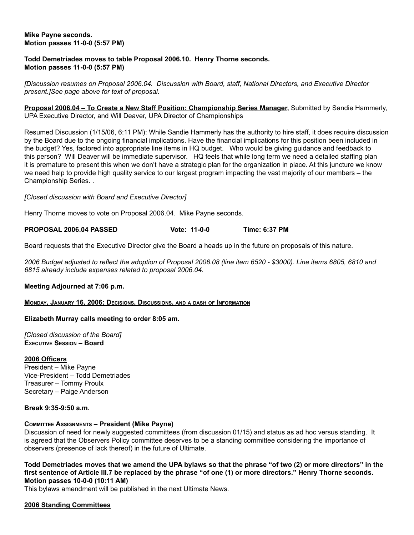### **Mike Payne seconds. Motion passes 11-0-0 (5:57 PM)**

### **Todd Demetriades moves to table Proposal 2006.10. Henry Thorne seconds. Motion passes 11-0-0 (5:57 PM)**

*[Discussion resumes on Proposal 2006.04. Discussion with Board, staff, National Directors, and Executive Director present.]See page above for text of proposal.* 

**Proposal 2006.04 – To Create a New Staff Position: Championship Series Manager,** Submitted by Sandie Hammerly, UPA Executive Director, and Will Deaver, UPA Director of Championships

Resumed Discussion (1/15/06, 6:11 PM): While Sandie Hammerly has the authority to hire staff, it does require discussion by the Board due to the ongoing financial implications. Have the financial implications for this position been included in the budget? Yes, factored into appropriate line items in HQ budget. Who would be giving guidance and feedback to this person? Will Deaver will be immediate supervisor. HQ feels that while long term we need a detailed staffing plan it is premature to present this when we don't have a strategic plan for the organization in place. At this juncture we know we need help to provide high quality service to our largest program impacting the vast majority of our members – the Championship Series. .

# *[Closed discussion with Board and Executive Director]*

Henry Thorne moves to vote on Proposal 2006.04. Mike Payne seconds.

**PROPOSAL 2006.04 PASSED Vote: 11-0-0 Time: 6:37 PM**

Board requests that the Executive Director give the Board a heads up in the future on proposals of this nature.

*2006 Budget adjusted to reflect the adoption of Proposal 2006.08 (line item 6520 - \$3000). Line items 6805, 6810 and 6815 already include expenses related to proposal 2006.04.* 

# **Meeting Adjourned at 7:06 p.m.**

**Monday, January 16, 2006: Decisions, Discussions, and <sup>a</sup> dash of Information**

### **Elizabeth Murray calls meeting to order 8:05 am.**

*[Closed discussion of the Board]* **Executive Session – Board**

### **2006 Officers**

President – Mike Payne Vice-President – Todd Demetriades Treasurer – Tommy Proulx Secretary – Paige Anderson

### **Break 9:35-9:50 a.m.**

# **Committee Assignments – President (Mike Payne)**

Discussion of need for newly suggested committees (from discussion 01/15) and status as ad hoc versus standing. It is agreed that the Observers Policy committee deserves to be a standing committee considering the importance of observers (presence of lack thereof) in the future of Ultimate.

**Todd Demetriades moves that we amend the UPA bylaws so that the phrase "of two (2) or more directors" in the first sentence of Article III.7 be replaced by the phrase "of one (1) or more directors." Henry Thorne seconds. Motion passes 10-0-0 (10:11 AM)**

This bylaws amendment will be published in the next Ultimate News.

### **2006 Standing Committees**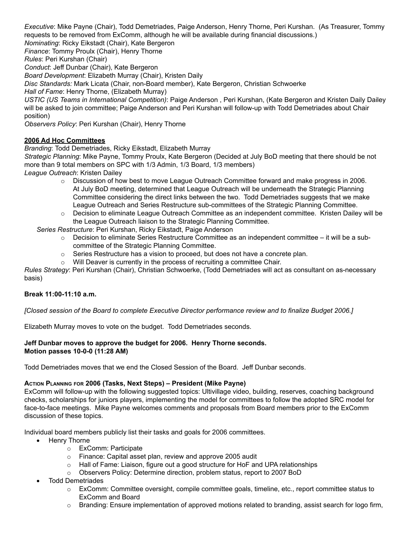*Executive*: Mike Payne (Chair), Todd Demetriades, Paige Anderson, Henry Thorne, Peri Kurshan. (As Treasurer, Tommy requests to be removed from ExComm, although he will be available during financial discussions.)

*Nominating*: Ricky Eikstadt (Chair), Kate Bergeron

*Finance*: Tommy Proulx (Chair), Henry Thorne

*Rules*: Peri Kurshan (Chair)

*Conduct*: Jeff Dunbar (Chair), Kate Bergeron

*Board Development*: Elizabeth Murray (Chair), Kristen Daily

*Disc Standards:* Mark Licata (Chair, non-Board member), Kate Bergeron, Christian Schwoerke

*Hall of Fame*: Henry Thorne, (Elizabeth Murray)

*USTIC (US Teams in International Competition)*: Paige Anderson , Peri Kurshan, (Kate Bergeron and Kristen Daily Dailey will be asked to join committee; Paige Anderson and Peri Kurshan will follow-up with Todd Demetriades about Chair position)

*Observers Policy*: Peri Kurshan (Chair), Henry Thorne

# **2006 Ad Hoc Committees**

*Branding*: Todd Demetriades, Ricky Eikstadt, Elizabeth Murray

*Strategic Planning*: Mike Payne, Tommy Proulx, Kate Bergeron (Decided at July BoD meeting that there should be not more than 9 total members on SPC with 1/3 Admin, 1/3 Board, 1/3 members)

*League Outreach*: Kristen Dailey

- $\circ$  Discussion of how best to move League Outreach Committee forward and make progress in 2006. At July BoD meeting, determined that League Outreach will be underneath the Strategic Planning Committee considering the direct links between the two. Todd Demetriades suggests that we make League Outreach and Series Restructure sub-committees of the Strategic Planning Committee.
- $\circ$  Decision to eliminate League Outreach Committee as an independent committee. Kristen Dailey will be the League Outreach liaison to the Strategic Planning Committee.

*Series Restructure*: Peri Kurshan, Ricky Eikstadt, Paige Anderson

- o Decision to eliminate Series Restructure Committee as an independent committee it will be a subcommittee of the Strategic Planning Committee.
- $\circ$  Series Restructure has a vision to proceed, but does not have a concrete plan.
- $\circ$  Will Deaver is currently in the process of recruiting a committee Chair.

*Rules Strategy*: Peri Kurshan (Chair), Christian Schwoerke, (Todd Demetriades will act as consultant on as-necessary basis)

# **Break 11:00-11:10 a.m.**

*[Closed session of the Board to complete Executive Director performance review and to finalize Budget 2006.]*

Elizabeth Murray moves to vote on the budget. Todd Demetriades seconds.

### **Jeff Dunbar moves to approve the budget for 2006. Henry Thorne seconds. Motion passes 10-0-0 (11:28 AM)**

Todd Demetriades moves that we end the Closed Session of the Board. Jeff Dunbar seconds.

# **Action Planning for 2006 (Tasks, Next Steps) – President (Mike Payne)**

ExComm will follow-up with the following suggested topics: Ultivillage video, building, reserves, coaching background checks, scholarships for juniors players, implementing the model for committees to follow the adopted SRC model for face-to-face meetings. Mike Payne welcomes comments and proposals from Board members prior to the ExComm discussion of these topics.

Individual board members publicly list their tasks and goals for 2006 committees.

- Henry Thorne
	- o ExComm: Participate
	- o Finance: Capital asset plan, review and approve 2005 audit
	- $\circ$  Hall of Fame: Liaison, figure out a good structure for HoF and UPA relationships
	- o Observers Policy: Determine direction, problem status, report to 2007 BoD

# **Todd Demetriades**

- $\circ$  ExComm: Committee oversight, compile committee goals, timeline, etc., report committee status to ExComm and Board
- $\circ$  Branding: Ensure implementation of approved motions related to branding, assist search for logo firm,